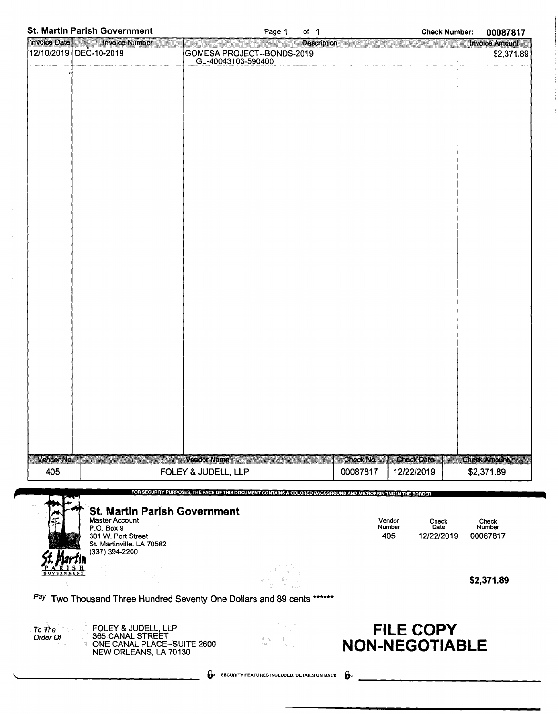|  |  |  | St. Martin Parish Government |
|--|--|--|------------------------------|
|--|--|--|------------------------------|

Ť

 $\hat{\boldsymbol{\theta}}$ 

Page 1 of 1

**Check Number: 00087817** 

|                    | 12/10/2019   DEC-10-2019                                               | GL-40043103-590400  | <b>Description</b><br><u>Tana ary ara-dahara</u><br>GOMESA PROJECT--BONDS-2019                                 |                       |                    | Invoice Amount<br>\$2,371.89 |
|--------------------|------------------------------------------------------------------------|---------------------|----------------------------------------------------------------------------------------------------------------|-----------------------|--------------------|------------------------------|
|                    |                                                                        |                     |                                                                                                                |                       |                    |                              |
|                    |                                                                        |                     |                                                                                                                |                       |                    |                              |
|                    |                                                                        |                     |                                                                                                                |                       |                    |                              |
|                    |                                                                        |                     |                                                                                                                |                       |                    |                              |
|                    |                                                                        |                     |                                                                                                                |                       |                    |                              |
|                    |                                                                        |                     |                                                                                                                |                       |                    |                              |
|                    |                                                                        |                     |                                                                                                                |                       |                    |                              |
|                    |                                                                        |                     |                                                                                                                |                       |                    |                              |
|                    |                                                                        |                     |                                                                                                                |                       |                    |                              |
|                    |                                                                        |                     |                                                                                                                |                       |                    |                              |
|                    |                                                                        |                     |                                                                                                                |                       |                    |                              |
|                    |                                                                        |                     |                                                                                                                |                       |                    |                              |
|                    |                                                                        |                     |                                                                                                                |                       |                    |                              |
|                    |                                                                        |                     |                                                                                                                |                       |                    |                              |
|                    |                                                                        |                     |                                                                                                                |                       |                    |                              |
|                    |                                                                        |                     |                                                                                                                |                       |                    |                              |
|                    |                                                                        |                     |                                                                                                                |                       |                    |                              |
|                    |                                                                        |                     |                                                                                                                |                       |                    |                              |
|                    |                                                                        |                     |                                                                                                                |                       |                    |                              |
|                    |                                                                        |                     |                                                                                                                |                       |                    |                              |
|                    |                                                                        |                     |                                                                                                                |                       |                    |                              |
|                    |                                                                        |                     |                                                                                                                |                       |                    |                              |
|                    |                                                                        |                     |                                                                                                                |                       |                    |                              |
|                    |                                                                        |                     |                                                                                                                |                       |                    |                              |
| Vendor No.         |                                                                        | Vendor Name         |                                                                                                                | Check No.             | <b>Check Date</b>  | <b>Check Amount</b>          |
| 405                |                                                                        | FOLEY & JUDELL, LLP |                                                                                                                | 00087817              | 12/22/2019         | \$2,371.89                   |
|                    |                                                                        |                     | FOR SECURITY PURPOSES, THE FACE OF THIS DOCUMENT CONTAINS A COLORED BACKGROUND AND MICROPRINTING IN THE BORDER |                       |                    |                              |
|                    |                                                                        |                     |                                                                                                                |                       |                    |                              |
|                    | <b>St. Martin Parish Government</b><br>Master Account                  |                     |                                                                                                                | Vendor                | Check              | Check<br>Number              |
|                    | P.O. Box 9<br>301 W. Port Street                                       |                     |                                                                                                                | Number<br>405         | Date<br>12/22/2019 | 00087817                     |
|                    | St. Martinville, LA 70582<br>(337) 394-2200                            |                     |                                                                                                                |                       |                    |                              |
|                    |                                                                        |                     |                                                                                                                |                       |                    |                              |
|                    |                                                                        |                     |                                                                                                                |                       |                    | \$2,371.89                   |
|                    | Pay Two Thousand Three Hundred Seventy One Dollars and 89 cents ****** |                     |                                                                                                                |                       |                    |                              |
|                    | FOLEY & JUDELL, LLP                                                    |                     |                                                                                                                |                       |                    |                              |
|                    |                                                                        |                     |                                                                                                                |                       | <b>FILE COPY</b>   |                              |
| To The<br>Order Of | 365 CANAL STREET                                                       |                     |                                                                                                                |                       |                    |                              |
|                    | ONE CANAL PLACE-SUITE 2600<br>NEW ORLEANS, LA 70130                    |                     | t, S<br>ing a                                                                                                  | <b>NON-NEGOTIABLE</b> |                    |                              |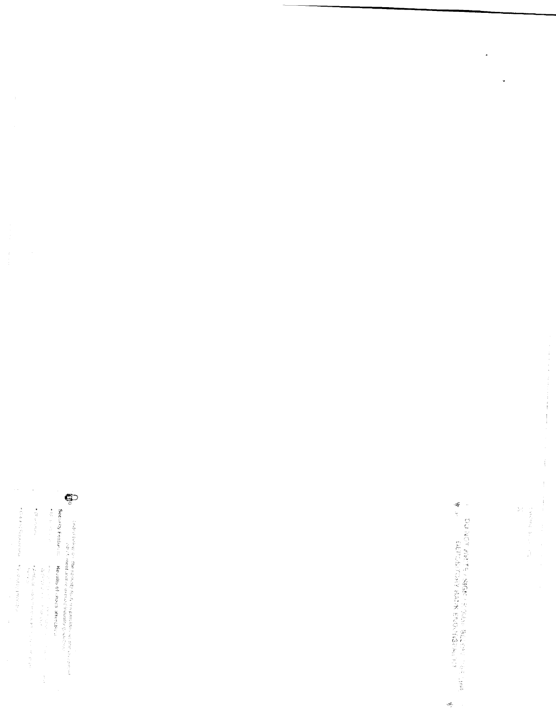医甲基甲酸 医鼻道 经有限票据 计指令 医心室性

 $\overline{\phantom{a}}$ 

 $\label{eq:1} \begin{array}{ll} \mathcal{L}_{\mathcal{M}}(\mathcal{M})=\mathcal{L}_{\mathcal{M}}(\mathcal{M})\times\mathcal{L}_{\mathcal{M}}(\mathcal{M})\times\mathcal{L}_{\mathcal{M}}(\mathcal{M})\times\mathcal{L}_{\mathcal{M}}(\mathcal{M})\times\mathcal{L}_{\mathcal{M}}(\mathcal{M})\times\mathcal{L}_{\mathcal{M}}(\mathcal{M})\times\mathcal{L}_{\mathcal{M}}(\mathcal{M})\times\mathcal{L}_{\mathcal{M}}(\mathcal{M})\times\mathcal{L}_{\mathcal{M}}(\mathcal{M})\times\mathcal{L}_{\math$  $\label{eq:1} \begin{array}{l} \mathcal{L}_{\mathcal{A}}(\mathcal{A})=\mathcal{L}_{\mathcal{A}}(\mathcal{A})\otimes \mathcal{L}_{\mathcal{A}}(\mathcal{A})\\ \mathcal{L}_{\mathcal{A}}(\mathcal{A})=\mathcal{L}_{\mathcal{A}}(\mathcal{A})\otimes \mathcal{L}_{\mathcal{A}}(\mathcal{A}) \end{array}$  $\label{eq:4} \frac{2\pi}{\pi}\sum_{i=1}^{n-1}\frac{1}{\sqrt{2}}\sum_{i=1}^{n-1}\frac{1}{\sqrt{2}}\sum_{i=1}^{n-1}\frac{1}{\sqrt{2}}\sum_{i=1}^{n-1}\frac{1}{\sqrt{2}}\sum_{i=1}^{n-1}\frac{1}{\sqrt{2}}\sum_{i=1}^{n-1}\frac{1}{\sqrt{2}}\sum_{i=1}^{n-1}\frac{1}{\sqrt{2}}\sum_{i=1}^{n-1}\frac{1}{\sqrt{2}}\sum_{i=1}^{n-1}\frac{1}{\sqrt{2}}\sum_{i=1}^{n-1}\frac{1$ 

Secially Feature ... Results of obest alteration s este di belong lan i dita paglandat) dal viva la si paglada i un anteriori serie di sino.<br>Leta Chinana duranti una di sino anteriori falabata y quali di sino.<br>Le



A ANDRO MARIA SERIA ANG ANG PAGASA ANG PAG-1993.<br>A A  $\mathcal{B}$ 

 $\ddot{\phantom{1}}$ 

 $\ddot{\phantom{0}}$ 

the company of the second con-

「大きなので、その他の人は、その他の人は、その他の人は、その他の人は、その他の人は、その他の人は、その他の人は、その他の人は、その他の人は、その他の人は、その他の人は、その他の人は、その他の人は、その

 $\frac{1}{2}$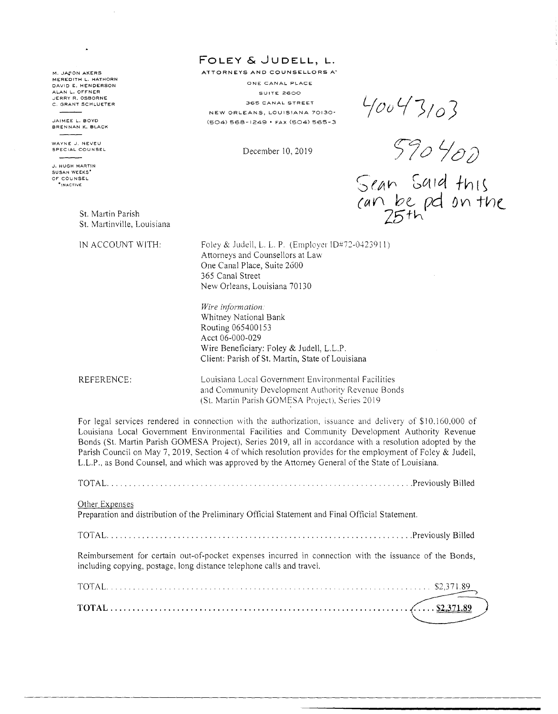**M, JA,fON AKERS MEREDITH L. HATHORN DAVIDE. HENDERSON ALAN L. OFFNER JERRY R. OSBORNE C. GRANT SCHLUETER** 

**JAIMEE L. BOYD BREN NAN K. BLACK** 

**WAYNE J. NEVEU SPECIAL COUNSEL** 

*J.* **HUGH MARTIN SUSAN WEEKS OF COUNSEL "'INACTIVE** 

> St. Martin Parish St. Martinville, Louisiana

IN ACCOUNT WITH:

**FOLEY & JU DELL, L.** 

ATTORNEYS AND COUNSELLORS A"

**ONE CANAL PLACE SUITE 2600 365 CANAL STREET**  NEW ORLEANS, LOUISIANA 70130- (504) 568-1249 • FAX (504) 565-3

December 10, 2019

 $40043/03$ <br>590400

Sean Said this<br>can be pd on the

Foley & Judell, L. L. P. (Employer  $ID#72-0423911$ ) Attorneys and Counsellors at Law One Canal Place, Suite 2600 365 Canal Street New Orleans, Louisiana 70130

*Wire information.*  Whitney National Bank Routing 065400153 Acct 06-000-029 Wire Beneficiary: Foley & Judell, L.L.P. Client: Parish of St. Martin, State of Louisiana

REFERENCE:

Louisiana Local Government Environmental Facilities and Community Development Authority Revenue Bonds (St. Martin Parish GOMESA Project), Series 2019

For legal services rendered in connection with the authorization, issuance and delivery of \$10.160,000 of Louisiana Local Government Environmental Facilities and Community Development Authority Revenue Bonds (St. Martin Parish GOMESA Project), Series 2019, all in accordance with a resolution adopted by the Parish Council on May 7, 2019, Section 4 of which resolution provides for the employment of Foley & Judell, L.L.P., as Bond Counsel, and which was approved by the Attorney General of the State of Louisiana.

TOTAL. .................................................................... Previously Billed

Other Expenses

Preparation and distribution of the Preliminary Official Statement and Final Official Statement.

TOT AL. .................................................................... Previously Billed

| Reimbursement for certain out-of-pocket expenses incurred in connection with the issuance of the Bonds,<br>including copying, postage, long distance telephone calls and travel. |  |
|----------------------------------------------------------------------------------------------------------------------------------------------------------------------------------|--|
|                                                                                                                                                                                  |  |
|                                                                                                                                                                                  |  |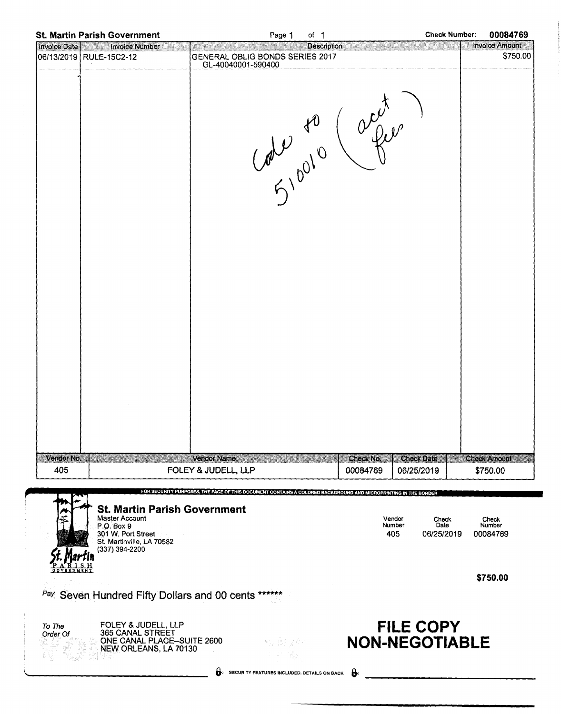|              | <b>St. Martin Parish Government</b>                 | Page 1<br>of $1$                                                                                               | <b>Check Number:</b>                | 00084769              |
|--------------|-----------------------------------------------------|----------------------------------------------------------------------------------------------------------------|-------------------------------------|-----------------------|
| Invoice Date | <b>Invoice Number</b>                               | Description                                                                                                    |                                     | <b>Invoice Amount</b> |
|              | 06/13/2019   RULE-15C2-12                           | GENERAL OBLIG BONDS SERIES 2017<br>GL-40040001-590400                                                          |                                     | \$750.00              |
|              |                                                     |                                                                                                                |                                     |                       |
|              |                                                     |                                                                                                                |                                     |                       |
|              |                                                     |                                                                                                                |                                     |                       |
|              |                                                     |                                                                                                                | Ocher                               |                       |
|              |                                                     |                                                                                                                |                                     |                       |
|              |                                                     |                                                                                                                |                                     |                       |
|              |                                                     | $(60 - 10)^{40}$                                                                                               |                                     |                       |
|              |                                                     |                                                                                                                |                                     |                       |
|              |                                                     |                                                                                                                |                                     |                       |
|              |                                                     |                                                                                                                |                                     |                       |
|              |                                                     |                                                                                                                |                                     |                       |
|              |                                                     |                                                                                                                |                                     |                       |
|              |                                                     |                                                                                                                |                                     |                       |
|              |                                                     |                                                                                                                |                                     |                       |
|              |                                                     |                                                                                                                |                                     |                       |
|              |                                                     |                                                                                                                |                                     |                       |
|              |                                                     |                                                                                                                |                                     |                       |
|              |                                                     |                                                                                                                |                                     |                       |
|              |                                                     |                                                                                                                |                                     |                       |
|              |                                                     |                                                                                                                |                                     |                       |
|              |                                                     |                                                                                                                |                                     |                       |
|              |                                                     |                                                                                                                |                                     |                       |
|              |                                                     |                                                                                                                |                                     |                       |
|              |                                                     |                                                                                                                |                                     |                       |
|              |                                                     |                                                                                                                |                                     |                       |
|              |                                                     |                                                                                                                |                                     |                       |
|              |                                                     |                                                                                                                |                                     |                       |
|              |                                                     |                                                                                                                |                                     |                       |
|              |                                                     |                                                                                                                |                                     |                       |
|              |                                                     |                                                                                                                |                                     |                       |
|              |                                                     |                                                                                                                |                                     |                       |
|              |                                                     |                                                                                                                |                                     |                       |
|              |                                                     |                                                                                                                |                                     |                       |
| Vendor No.   |                                                     | <b>EXAMPLE Vendor Name Andrew Property</b>                                                                     | Check No.<br><b>Check Date</b>      | <b>Check Amount</b>   |
| 405          |                                                     | FOLEY & JUDELL, LLP                                                                                            | 00084769<br>06/25/2019              | \$750.00              |
|              |                                                     |                                                                                                                |                                     |                       |
|              |                                                     | FOR SECURITY PURPOSES, THE FACE OF THIS DOCUMENT CONTAINS A COLORED BACKGROUND AND MICROPRINTING IN THE BORDER |                                     |                       |
|              | <b>St. Martin Parish Government</b>                 |                                                                                                                |                                     |                       |
|              | Master Account                                      |                                                                                                                | Vendor<br>Check                     | Check                 |
|              | P.O. Box 9<br>301 W. Port Street                    |                                                                                                                | Number<br>Date<br>405<br>06/25/2019 | Number<br>00084769    |
|              | St. Martinville, LA 70582                           |                                                                                                                |                                     |                       |
|              | (337) 394-2200                                      |                                                                                                                |                                     |                       |
|              |                                                     |                                                                                                                |                                     |                       |
|              |                                                     |                                                                                                                |                                     | \$750.00              |
|              |                                                     |                                                                                                                |                                     |                       |
|              | Pay Seven Hundred Fifty Dollars and 00 cents ****** |                                                                                                                |                                     |                       |
|              |                                                     |                                                                                                                |                                     |                       |
| To The       | FOLEY & JUDELL, LLP                                 |                                                                                                                | FILE COPY                           |                       |
| Order Of     | 365 CANAL STREET                                    |                                                                                                                |                                     |                       |
|              | ONE CANAL PLACE-SUITE 2600<br>NEW ORLEANS, LA 70130 |                                                                                                                | <b>NON-NEGOTIABLE</b>               |                       |
|              |                                                     |                                                                                                                |                                     |                       |
|              |                                                     | SECURITY FEATURES INCLUDED. DETAILS ON BACK                                                                    | $\mathbf{B}$                        |                       |
|              |                                                     |                                                                                                                |                                     |                       |
|              |                                                     |                                                                                                                |                                     |                       |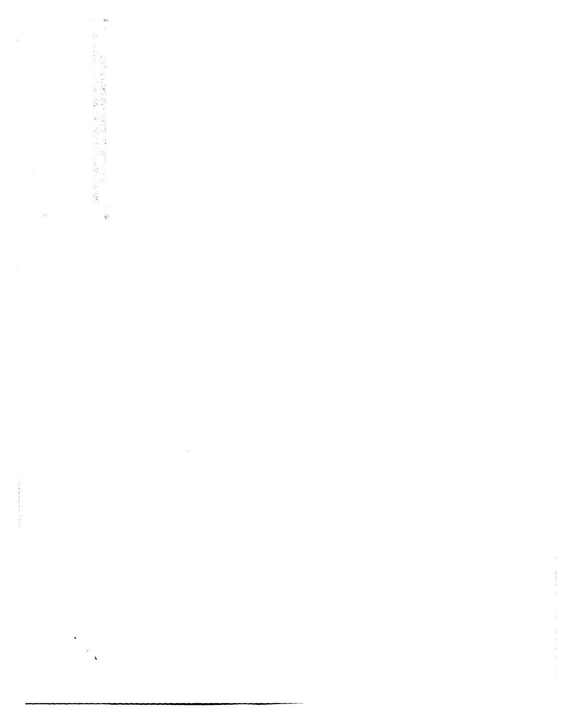「そのこと」ということが、このことが、このことがある。 こうしょう こうしょう こうしょう こうしょう こうしょう こうしょう こうしょう こうしょう こうしょう こうしょう

 $\begin{aligned} \mathbf{A} & \mathbf{A} \\ \mathbf{A} & \mathbf{A} \end{aligned}$ 

 $\mathbf{x}$